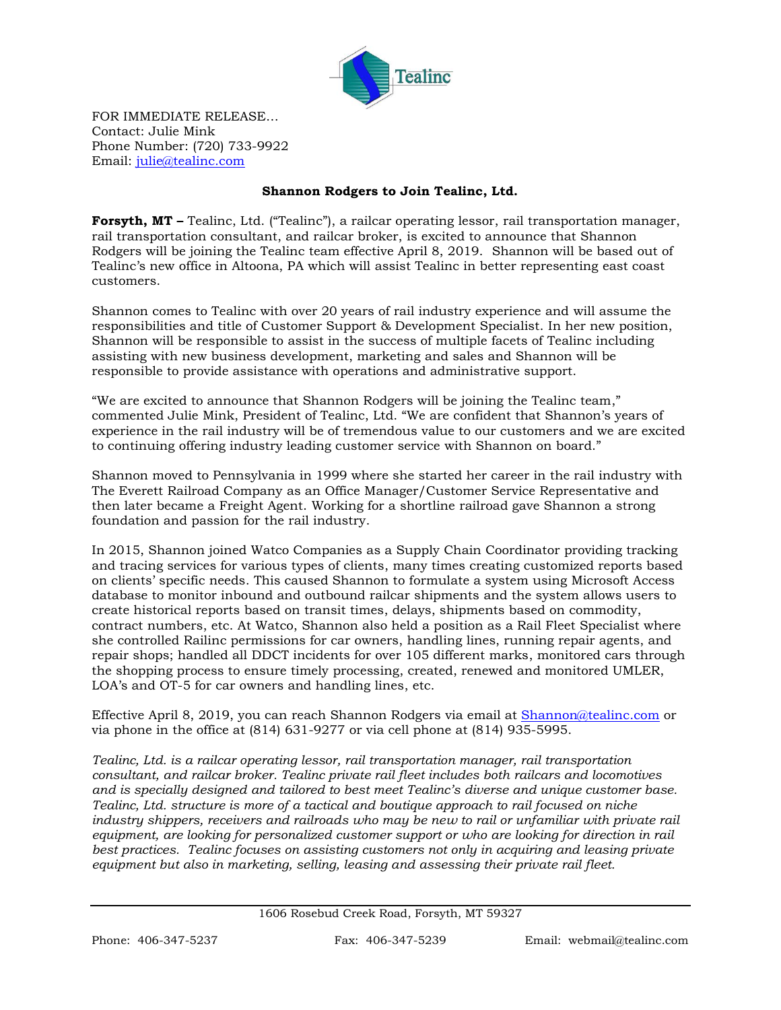

FOR IMMEDIATE RELEASE… Contact: Julie Mink Phone Number: (720) 733-9922 Email: [julie@tealinc.com](mailto:julie@tealinc.com)

## **Shannon Rodgers to Join Tealinc, Ltd.**

**Forsyth, MT –** Tealinc, Ltd. ("Tealinc"), a railcar operating lessor, rail transportation manager, rail transportation consultant, and railcar broker, is excited to announce that Shannon Rodgers will be joining the Tealinc team effective April 8, 2019. Shannon will be based out of Tealinc's new office in Altoona, PA which will assist Tealinc in better representing east coast customers.

Shannon comes to Tealinc with over 20 years of rail industry experience and will assume the responsibilities and title of Customer Support & Development Specialist. In her new position, Shannon will be responsible to assist in the success of multiple facets of Tealinc including assisting with new business development, marketing and sales and Shannon will be responsible to provide assistance with operations and administrative support.

"We are excited to announce that Shannon Rodgers will be joining the Tealinc team," commented Julie Mink, President of Tealinc, Ltd. "We are confident that Shannon's years of experience in the rail industry will be of tremendous value to our customers and we are excited to continuing offering industry leading customer service with Shannon on board."

Shannon moved to Pennsylvania in 1999 where she started her career in the rail industry with The Everett Railroad Company as an Office Manager/Customer Service Representative and then later became a Freight Agent. Working for a shortline railroad gave Shannon a strong foundation and passion for the rail industry.

In 2015, Shannon joined Watco Companies as a Supply Chain Coordinator providing tracking and tracing services for various types of clients, many times creating customized reports based on clients' specific needs. This caused Shannon to formulate a system using Microsoft Access database to monitor inbound and outbound railcar shipments and the system allows users to create historical reports based on transit times, delays, shipments based on commodity, contract numbers, etc. At Watco, Shannon also held a position as a Rail Fleet Specialist where she controlled Railinc permissions for car owners, handling lines, running repair agents, and repair shops; handled all DDCT incidents for over 105 different marks, monitored cars through the shopping process to ensure timely processing, created, renewed and monitored UMLER, LOA's and OT-5 for car owners and handling lines, etc.

Effective April 8, 2019, you can reach Shannon Rodgers via email at [Shannon@tealinc.com](mailto:Shannon@tealinc.com) or via phone in the office at (814) 631-9277 or via cell phone at (814) 935-5995.

*Tealinc, Ltd. is a railcar operating lessor, rail transportation manager, rail transportation consultant, and railcar broker. Tealinc private rail fleet includes both railcars and locomotives and is specially designed and tailored to best meet Tealinc's diverse and unique customer base. Tealinc, Ltd. structure is more of a tactical and boutique approach to rail focused on niche industry shippers, receivers and railroads who may be new to rail or unfamiliar with private rail equipment, are looking for personalized customer support or who are looking for direction in rail best practices. Tealinc focuses on assisting customers not only in acquiring and leasing private equipment but also in marketing, selling, leasing and assessing their private rail fleet.*